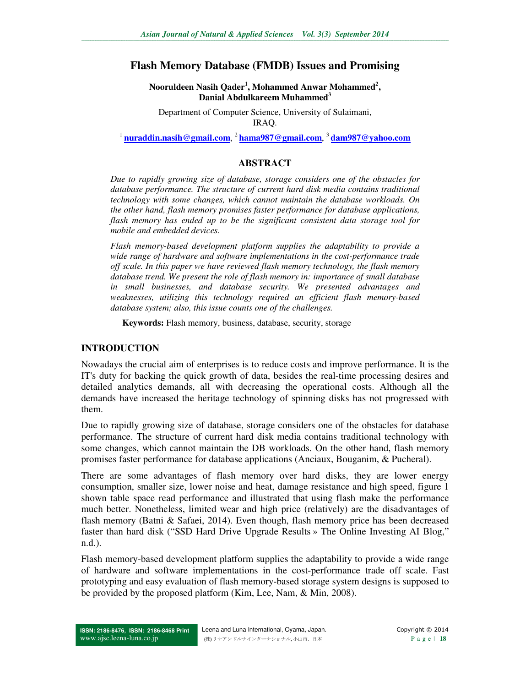# **Flash Memory Database (FMDB) Issues and Promising**

**Nooruldeen Nasih Qader<sup>1</sup> , Mohammed Anwar Mohammed<sup>2</sup> , Danial Abdulkareem Muhammed<sup>3</sup>**

Department of Computer Science, University of Sulaimani, IRAQ.

<sup>1</sup>**nuraddin.nasih@gmail.com**, <sup>2</sup>**hama987@gmail.com**, <sup>3</sup>**dam987@yahoo.com**

#### **ABSTRACT**

*Due to rapidly growing size of database, storage considers one of the obstacles for database performance. The structure of current hard disk media contains traditional technology with some changes, which cannot maintain the database workloads. On the other hand, flash memory promises faster performance for database applications, flash memory has ended up to be the significant consistent data storage tool for mobile and embedded devices.* 

*Flash memory-based development platform supplies the adaptability to provide a wide range of hardware and software implementations in the cost-performance trade off scale. In this paper we have reviewed flash memory technology, the flash memory database trend. We present the role of flash memory in: importance of small database in small businesses, and database security. We presented advantages and weaknesses, utilizing this technology required an efficient flash memory-based database system; also, this issue counts one of the challenges.* 

**Keywords:** Flash memory, business, database, security, storage

#### **INTRODUCTION**

Nowadays the crucial aim of enterprises is to reduce costs and improve performance. It is the IT's duty for backing the quick growth of data, besides the real-time processing desires and detailed analytics demands, all with decreasing the operational costs. Although all the demands have increased the heritage technology of spinning disks has not progressed with them.

Due to rapidly growing size of database, storage considers one of the obstacles for database performance. The structure of current hard disk media contains traditional technology with some changes, which cannot maintain the DB workloads. On the other hand, flash memory promises faster performance for database applications (Anciaux, Bouganim, & Pucheral).

There are some advantages of flash memory over hard disks, they are lower energy consumption, smaller size, lower noise and heat, damage resistance and high speed, figure 1 shown table space read performance and illustrated that using flash make the performance much better. Nonetheless, limited wear and high price (relatively) are the disadvantages of flash memory (Batni & Safaei, 2014). Even though, flash memory price has been decreased faster than hard disk ("SSD Hard Drive Upgrade Results » The Online Investing AI Blog," n.d.).

Flash memory-based development platform supplies the adaptability to provide a wide range of hardware and software implementations in the cost-performance trade off scale. Fast prototyping and easy evaluation of flash memory-based storage system designs is supposed to be provided by the proposed platform (Kim, Lee, Nam, & Min, 2008).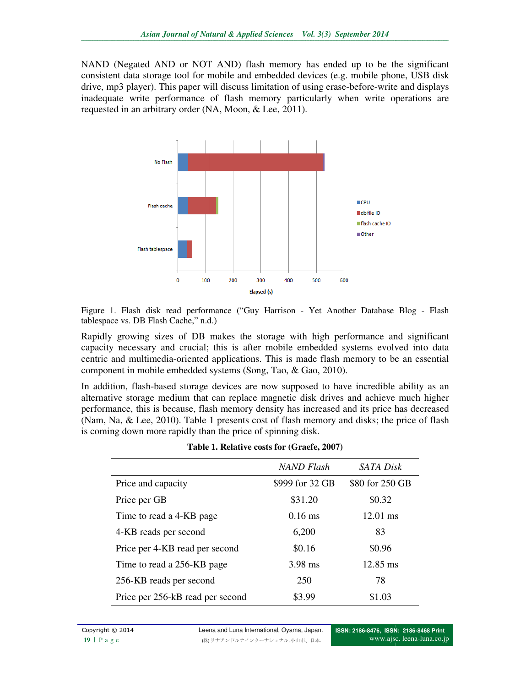NAND (Negated AND or NOT AND) flash memory has ended up to be the significant consistent data storage tool for mobile and embedded devices (e.g. mobile phone, USB disk NAND (Negated AND or NOT AND) flash memory has ended up to be the significant consistent data storage tool for mobile and embedded devices (e.g. mobile phone, USB disk drive, mp3 player). This paper will discuss limitation inadequate write performance of flash memory particularly when write operations are requested in an arbitrary order (NA, Moon, & Lee, 2011). requested in an arbitrary order (NA, Moon, & Lee, 2011)



Figure 1. Flash disk read performance ("Guy Harrison - Yet Another Database Blog - Flash tablespace vs. DB Flash Cache," n.d.)

Rapidly growing sizes of DB makes the storage with high performance and significant capacity necessary and crucial; this is after mobile embedded systems evolved into data centric and multimedia-oriented applications. This is made flash memory to be an essential component in mobile embedded systems (Song, Tao, & Gao, 2010). capacity necessary and crucial; this is after mobile embedded systems evolved into data<br>centric and multimedia-oriented applications. This is made flash memory to be an essential<br>component in mobile embedded systems (Song, Rapidly growing sizes of DB makes the storage with high performance and significant capacity necessary and crucial; this is after mobile embedded systems evolved into data centric and multimedia-oriented applications. This

In addition, flash-based storage devices are now supposed to have incredible ability as an alternative storage medium that can replace magnetic disk drives and achieve much higher performance, this is because, flash memory density has increased and its price has decreased performance, this is because, flash memory density has increased and its price has decreased (Nam, Na, & Lee, 2010). Table 1 presents cost of flash memory and disks; the price of flash is coming down more rapidly than the price of spinning disk.

|                                  | <b>NAND Flash</b> | <b>SATA Disk</b>   |  |
|----------------------------------|-------------------|--------------------|--|
| Price and capacity               | \$999 for 32 GB   | \$80 for 250 GB    |  |
| Price per GB                     | \$31.20           | \$0.32             |  |
| Time to read a 4-KB page         | $0.16$ ms         | $12.01$ ms         |  |
| 4-KB reads per second            | 6,200             | 83                 |  |
| Price per 4-KB read per second   | \$0.16            | \$0.96             |  |
| Time to read a 256-KB page       | 3.98 ms           | $12.85 \text{ ms}$ |  |
| 256-KB reads per second          | 250               | 78                 |  |
| Price per 256-kB read per second | \$3.99            | \$1.03             |  |

Copyright © 2014 **Leena and Luna International, Oyama, Japan.** ) リナアンドルナインターナショナル, 小山市、日本.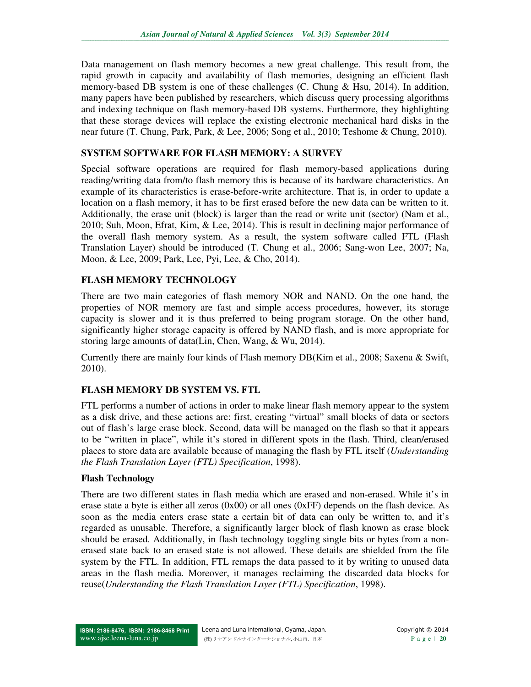Data management on flash memory becomes a new great challenge. This result from, the rapid growth in capacity and availability of flash memories, designing an efficient flash memory-based DB system is one of these challenges (C. Chung & Hsu, 2014). In addition, many papers have been published by researchers, which discuss query processing algorithms and indexing technique on flash memory-based DB systems. Furthermore, they highlighting that these storage devices will replace the existing electronic mechanical hard disks in the near future (T. Chung, Park, Park, & Lee, 2006; Song et al., 2010; Teshome & Chung, 2010).

## **SYSTEM SOFTWARE FOR FLASH MEMORY: A SURVEY**

Special software operations are required for flash memory-based applications during reading/writing data from/to flash memory this is because of its hardware characteristics. An example of its characteristics is erase-before-write architecture. That is, in order to update a location on a flash memory, it has to be first erased before the new data can be written to it. Additionally, the erase unit (block) is larger than the read or write unit (sector) (Nam et al., 2010; Suh, Moon, Efrat, Kim, & Lee, 2014). This is result in declining major performance of the overall flash memory system. As a result, the system software called FTL (Flash Translation Layer) should be introduced (T. Chung et al., 2006; Sang-won Lee, 2007; Na, Moon, & Lee, 2009; Park, Lee, Pyi, Lee, & Cho, 2014).

## **FLASH MEMORY TECHNOLOGY**

There are two main categories of flash memory NOR and NAND. On the one hand, the properties of NOR memory are fast and simple access procedures, however, its storage capacity is slower and it is thus preferred to being program storage. On the other hand, significantly higher storage capacity is offered by NAND flash, and is more appropriate for storing large amounts of data(Lin, Chen, Wang, & Wu, 2014).

Currently there are mainly four kinds of Flash memory DB(Kim et al., 2008; Saxena & Swift, 2010).

## **FLASH MEMORY DB SYSTEM VS. FTL**

FTL performs a number of actions in order to make linear flash memory appear to the system as a disk drive, and these actions are: first, creating "virtual" small blocks of data or sectors out of flash's large erase block. Second, data will be managed on the flash so that it appears to be "written in place", while it's stored in different spots in the flash. Third, clean/erased places to store data are available because of managing the flash by FTL itself (*Understanding the Flash Translation Layer (FTL) Specification*, 1998).

## **Flash Technology**

There are two different states in flash media which are erased and non-erased. While it's in erase state a byte is either all zeros  $(0x00)$  or all ones  $(0xFF)$  depends on the flash device. As soon as the media enters erase state a certain bit of data can only be written to, and it's regarded as unusable. Therefore, a significantly larger block of flash known as erase block should be erased. Additionally, in flash technology toggling single bits or bytes from a nonerased state back to an erased state is not allowed. These details are shielded from the file system by the FTL. In addition, FTL remaps the data passed to it by writing to unused data areas in the flash media. Moreover, it manages reclaiming the discarded data blocks for reuse(*Understanding the Flash Translation Layer (FTL) Specification*, 1998).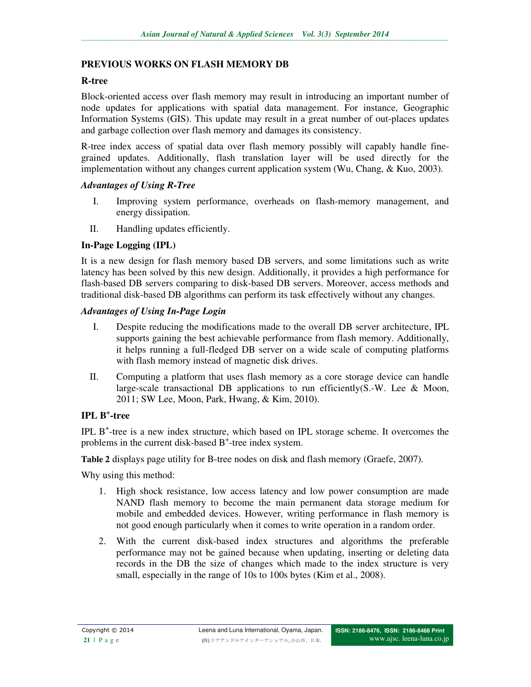## **PREVIOUS WORKS ON FLASH MEMORY DB**

#### **R-tree**

Block-oriented access over flash memory may result in introducing an important number of node updates for applications with spatial data management. For instance, Geographic Information Systems (GIS). This update may result in a great number of out-places updates and garbage collection over flash memory and damages its consistency.

R-tree index access of spatial data over flash memory possibly will capably handle finegrained updates. Additionally, flash translation layer will be used directly for the implementation without any changes current application system (Wu, Chang, & Kuo, 2003).

#### *Advantages of Using R-Tree*

- I. Improving system performance, overheads on flash-memory management, and energy dissipation.
- II. Handling updates efficiently.

## **In-Page Logging (IPL)**

It is a new design for flash memory based DB servers, and some limitations such as write latency has been solved by this new design. Additionally, it provides a high performance for flash-based DB servers comparing to disk-based DB servers. Moreover, access methods and traditional disk-based DB algorithms can perform its task effectively without any changes.

#### *Advantages of Using In-Page Login*

- I. Despite reducing the modifications made to the overall DB server architecture, IPL supports gaining the best achievable performance from flash memory. Additionally, it helps running a full-fledged DB server on a wide scale of computing platforms with flash memory instead of magnetic disk drives.
- II. Computing a platform that uses flash memory as a core storage device can handle large-scale transactional DB applications to run efficiently(S.-W. Lee  $\&$  Moon, 2011; SW Lee, Moon, Park, Hwang, & Kim, 2010).

# **IPL B<sup>+</sup> -tree**

IPL B<sup>+</sup>-tree is a new index structure, which based on IPL storage scheme. It overcomes the problems in the current disk-based  $B^+$ -tree index system.

**Table 2** displays page utility for B-tree nodes on disk and flash memory (Graefe, 2007).

Why using this method:

- 1. High shock resistance, low access latency and low power consumption are made NAND flash memory to become the main permanent data storage medium for mobile and embedded devices. However, writing performance in flash memory is not good enough particularly when it comes to write operation in a random order.
- 2. With the current disk-based index structures and algorithms the preferable performance may not be gained because when updating, inserting or deleting data records in the DB the size of changes which made to the index structure is very small, especially in the range of 10s to 100s bytes (Kim et al., 2008).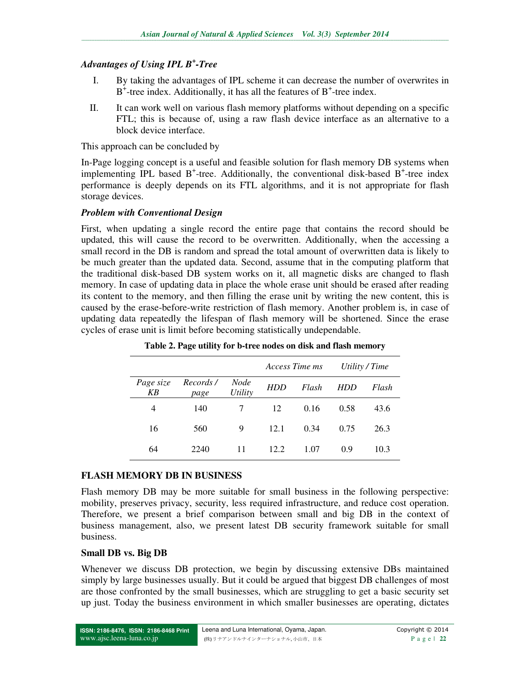# *Advantages of Using IPL B<sup>+</sup> -Tree*

- I. By taking the advantages of IPL scheme it can decrease the number of overwrites in  $B^+$ -tree index. Additionally, it has all the features of  $B^+$ -tree index.
- II. It can work well on various flash memory platforms without depending on a specific FTL; this is because of, using a raw flash device interface as an alternative to a block device interface.

This approach can be concluded by

In-Page logging concept is a useful and feasible solution for flash memory DB systems when implementing IPL based  $B^+$ -tree. Additionally, the conventional disk-based  $B^+$ -tree index performance is deeply depends on its FTL algorithms, and it is not appropriate for flash storage devices.

#### *Problem with Conventional Design*

First, when updating a single record the entire page that contains the record should be updated, this will cause the record to be overwritten. Additionally, when the accessing a small record in the DB is random and spread the total amount of overwritten data is likely to be much greater than the updated data. Second, assume that in the computing platform that the traditional disk-based DB system works on it, all magnetic disks are changed to flash memory. In case of updating data in place the whole erase unit should be erased after reading its content to the memory, and then filling the erase unit by writing the new content, this is caused by the erase-before-write restriction of flash memory. Another problem is, in case of updating data repeatedly the lifespan of flash memory will be shortened. Since the erase cycles of erase unit is limit before becoming statistically undependable.

|                 |                  |                 | Access Time ms |       | Utility / Time |       |
|-----------------|------------------|-----------------|----------------|-------|----------------|-------|
| Page size<br>KΒ | Records/<br>page | Node<br>Utility | HDD            | Flash | <b>HDD</b>     | Flash |
| 4               | 140              |                 | 12             | 0.16  | 0.58           | 43.6  |
| 16              | 560              | 9               | 12.1           | 0.34  | 0.75           | 26.3  |
| 64              | 2240             | 11              | 12.2           | 1.07  | 0.9            | 10.3  |

**Table 2. Page utility for b-tree nodes on disk and flash memory** 

## **FLASH MEMORY DB IN BUSINESS**

Flash memory DB may be more suitable for small business in the following perspective: mobility, preserves privacy, security, less required infrastructure, and reduce cost operation. Therefore, we present a brief comparison between small and big DB in the context of business management, also, we present latest DB security framework suitable for small business.

## **Small DB vs. Big DB**

Whenever we discuss DB protection, we begin by discussing extensive DBs maintained simply by large businesses usually. But it could be argued that biggest DB challenges of most are those confronted by the small businesses, which are struggling to get a basic security set up just. Today the business environment in which smaller businesses are operating, dictates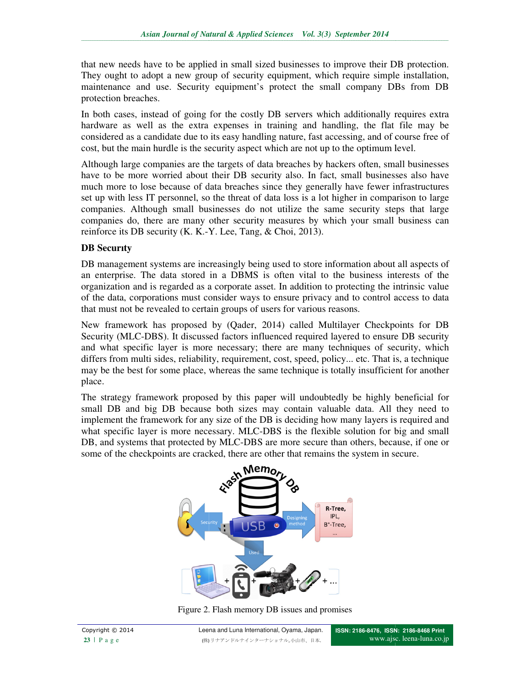that new needs have to be applied in small sized businesses to improve their DB protection. that new needs have to be applied in small sized businesses to improve their DB protection.<br>They ought to adopt a new group of security equipment, which require simple installation, maintenance and use. Security equipment's protect the small company DBs from DB protection breaches.

In both cases, instead of going for the costly DB servers which additionally requires extra hardware as well as the extra expenses in training and handling, the flat file may be considered as a candidate due to its easy handling nature, fast accessing, and of course free of cost, but the main hurdle is the security aspect which are not up to the optimum level. nd use. Security equipment's protect the small company DBs from DB<br>ches.<br>instead of going for the costly DB servers which additionally requires extra<br>vell as the extra expenses in training and handling, the flat file may b

Although large companies are the targets of data breaches by hackers often, small businesses have to be more worried about their DB security also. In fact, small businesses also have much more to lose because of data breaches since they generally have fewer infrastructures set up with less IT personnel, so the threat of data loss is a lot higher in comparison to large companies. Although small businesses do not utilize the same security steps that large companies do, there are many other security measures by which your small business reinforce its DB security (K. K.-Y. Lee, Tang, & Choi, 2013). dered as a candidate due to its easy handling nature, fast accessing, and of course free of but the main hurdle is the security aspect which are not up to the optimum level.<br>
ough large companies are the targets of data br that new needs have to be applied in small sized businesses to improve their DB protection.<br>They ought to adopt a new group of security equipment, which require simple installation, maintenance and use. Security equipment'

## **DB Securıty**

DB management systems are increasingly being used to store information about all aspects of an enterprise. The data stored in a DBMS is often vital to the business interests of the DB management systems are increasingly being used to store information about all aspects of an enterprise. The data stored in a DBMS is often vital to the business interests of the organization and is regarded as a corpora of the data, corporations must consider ways to ensure privacy and to control access to data that must not be revealed to certain groups of users for various reasons. of the data, corporations must consider ways to ensure privacy and to control access to data that must not be revealed to certain groups of users for various reasons.<br>New framework has proposed by (Qader, 2014) called Mult

Security (MLC-DBS). It discussed factors influenced required layered to ensure DB security Security (MLC-DBS). It discussed factors influenced required layered to ensure DB security and what specific layer is more necessary; there are many techniques of security, which differs from multi sides, reliability, requirement, cost, speed, policy... etc. That is, a technique may be the best for some place, whereas the same technique is totally insufficient for another place. ganization and is regarded as a corporate asset. In addition to protecting the intrinsic value<br>the data, corporations must consider ways to ensure privacy and to control access to data<br>t must not be revealed to certain gro

The strategy framework proposed by this paper will undoubtedly be highly beneficial for small DB and big DB because both sizes may contain valuable data. All they need to implement the framework for any size of the DB is deciding how many layers is required and what specific layer is more necessary. MLC-DBS is the flexible solution for big and small DB, and systems that protected by MLC-DBS are more secure than others, because, if one or some of the checkpoints are cracked, there are other that remains the system in secure. reliability, requirement, cost, speed, policy... etc. That is, a technique the best for some place, whereas the same technique is totally insufficient for another the many or the many layers is the many layers is the many



Figure 2. Flash memory DB issues and promises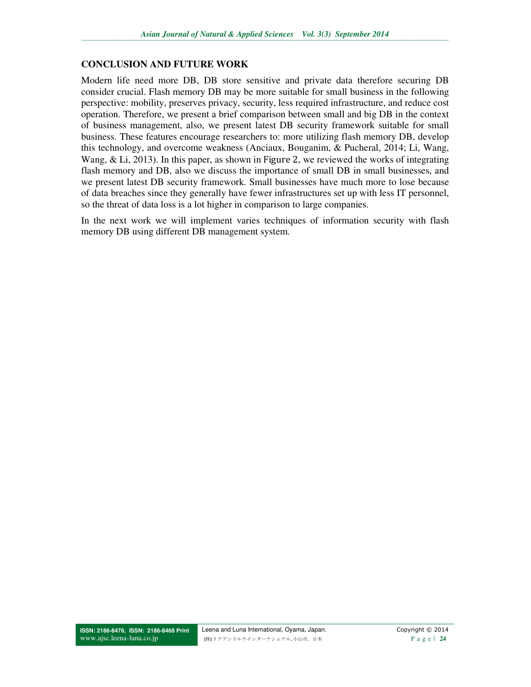#### **CONCLUSION AND FUTURE WORK**

Modern life need more DB, DB store sensitive and private data therefore securing DB consider crucial. Flash memory DB may be more suitable for small business in the following perspective: mobility, preserves privacy, security, less required infrastructure, and reduce cost operation. Therefore, we present a brief comparison between small and big DB in the context of business management, also, we present latest DB security framework suitable for small business. These features encourage researchers to: more utilizing flash memory DB, develop this technology, and overcome weakness (Anciaux, Bouganim, & Pucheral, 2014; Li, Wang, Wang, & Li, 2013). In this paper, as shown in Figure 2, we reviewed the works of integrating flash memory and DB, also we discuss the importance of small DB in small businesses, and we present latest DB security framework. Small businesses have much more to lose because of data breaches since they generally have fewer infrastructures set up with less IT personnel, so the threat of data loss is a lot higher in comparison to large companies.

In the next work we will implement varies techniques of information security with flash memory DB using different DB management system.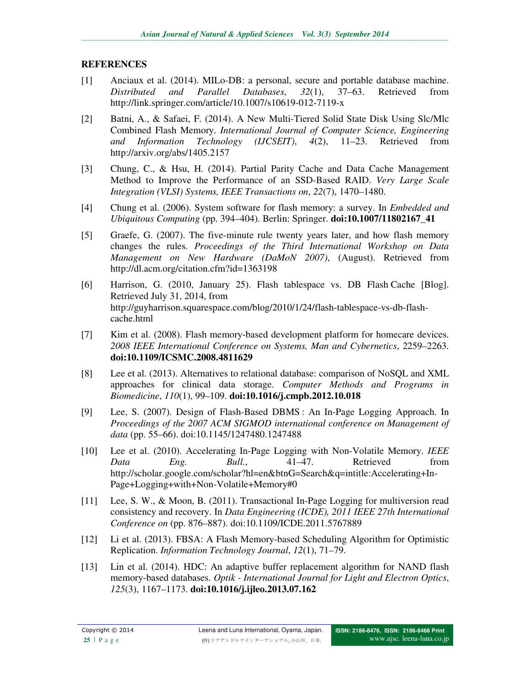## **REFERENCES**

- [1] Anciaux et al. (2014). MILo-DB: a personal, secure and portable database machine. *Distributed and Parallel Databases*, *32*(1), 37–63. Retrieved from http://link.springer.com/article/10.1007/s10619-012-7119-x
- [2] Batni, A., & Safaei, F. (2014). A New Multi-Tiered Solid State Disk Using Slc/Mlc Combined Flash Memory. *International Journal of Computer Science, Engineering and Information Technology (IJCSEIT)*, *4*(2), 11–23. Retrieved from http://arxiv.org/abs/1405.2157
- [3] Chung, C., & Hsu, H. (2014). Partial Parity Cache and Data Cache Management Method to Improve the Performance of an SSD-Based RAID. *Very Large Scale Integration (VLSI) Systems, IEEE Transactions on*, *22*(7), 1470–1480.
- [4] Chung et al. (2006). System software for flash memory: a survey. In *Embedded and Ubiquitous Computing* (pp. 394–404). Berlin: Springer. **doi:10.1007/11802167\_41**
- [5] Graefe, G. (2007). The five-minute rule twenty years later, and how flash memory changes the rules. *Proceedings of the Third International Workshop on Data Management on New Hardware (DaMoN 2007)*, (August). Retrieved from http://dl.acm.org/citation.cfm?id=1363198
- [6] Harrison, G. (2010, January 25). Flash tablespace vs. DB Flash Cache [Blog]. Retrieved July 31, 2014, from http://guyharrison.squarespace.com/blog/2010/1/24/flash-tablespace-vs-db-flashcache.html
- [7] Kim et al. (2008). Flash memory-based development platform for homecare devices. *2008 IEEE International Conference on Systems, Man and Cybernetics*, 2259–2263. **doi:10.1109/ICSMC.2008.4811629**
- [8] Lee et al. (2013). Alternatives to relational database: comparison of NoSQL and XML approaches for clinical data storage. *Computer Methods and Programs in Biomedicine*, *110*(1), 99–109. **doi:10.1016/j.cmpb.2012.10.018**
- [9] Lee, S. (2007). Design of Flash-Based DBMS : An In-Page Logging Approach. In *Proceedings of the 2007 ACM SIGMOD international conference on Management of data* (pp. 55–66). doi:10.1145/1247480.1247488
- [10] Lee et al. (2010). Accelerating In-Page Logging with Non-Volatile Memory. *IEEE Data Eng. Bull.*, 41–47. Retrieved from http://scholar.google.com/scholar?hl=en&btnG=Search&q=intitle:Accelerating+In-Page+Logging+with+Non-Volatile+Memory#0
- [11] Lee, S. W., & Moon, B. (2011). Transactional In-Page Logging for multiversion read consistency and recovery. In *Data Engineering (ICDE), 2011 IEEE 27th International Conference on* (pp. 876–887). doi:10.1109/ICDE.2011.5767889
- [12] Li et al. (2013). FBSA: A Flash Memory-based Scheduling Algorithm for Optimistic Replication. *Information Technology Journal*, *12*(1), 71–79.
- [13] Lin et al. (2014). HDC: An adaptive buffer replacement algorithm for NAND flash memory-based databases. *Optik - International Journal for Light and Electron Optics*, *125*(3), 1167–1173. **doi:10.1016/j.ijleo.2013.07.162**